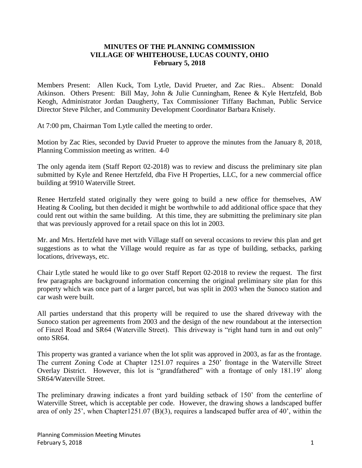## **MINUTES OF THE PLANNING COMMISSION VILLAGE OF WHITEHOUSE, LUCAS COUNTY, OHIO February 5, 2018**

Members Present: Allen Kuck, Tom Lytle, David Prueter, and Zac Ries.. Absent: Donald Atkinson. Others Present: Bill May, John & Julie Cunningham, Renee & Kyle Hertzfeld, Bob Keogh, Administrator Jordan Daugherty, Tax Commissioner Tiffany Bachman, Public Service Director Steve Pilcher, and Community Development Coordinator Barbara Knisely.

At 7:00 pm, Chairman Tom Lytle called the meeting to order.

Motion by Zac Ries, seconded by David Prueter to approve the minutes from the January 8, 2018, Planning Commission meeting as written. 4-0

The only agenda item (Staff Report 02-2018) was to review and discuss the preliminary site plan submitted by Kyle and Renee Hertzfeld, dba Five H Properties, LLC, for a new commercial office building at 9910 Waterville Street.

Renee Hertzfeld stated originally they were going to build a new office for themselves, AW Heating  $&$  Cooling, but then decided it might be worthwhile to add additional office space that they could rent out within the same building. At this time, they are submitting the preliminary site plan that was previously approved for a retail space on this lot in 2003.

Mr. and Mrs. Hertzfeld have met with Village staff on several occasions to review this plan and get suggestions as to what the Village would require as far as type of building, setbacks, parking locations, driveways, etc.

Chair Lytle stated he would like to go over Staff Report 02-2018 to review the request. The first few paragraphs are background information concerning the original preliminary site plan for this property which was once part of a larger parcel, but was split in 2003 when the Sunoco station and car wash were built.

All parties understand that this property will be required to use the shared driveway with the Sunoco station per agreements from 2003 and the design of the new roundabout at the intersection of Finzel Road and SR64 (Waterville Street). This driveway is "right hand turn in and out only" onto SR64.

This property was granted a variance when the lot split was approved in 2003, as far as the frontage. The current Zoning Code at Chapter 1251.07 requires a 250' frontage in the Waterville Street Overlay District. However, this lot is "grandfathered" with a frontage of only 181.19' along SR64/Waterville Street.

The preliminary drawing indicates a front yard building setback of 150' from the centerline of Waterville Street, which is acceptable per code. However, the drawing shows a landscaped buffer area of only 25', when Chapter1251.07 (B)(3), requires a landscaped buffer area of 40', within the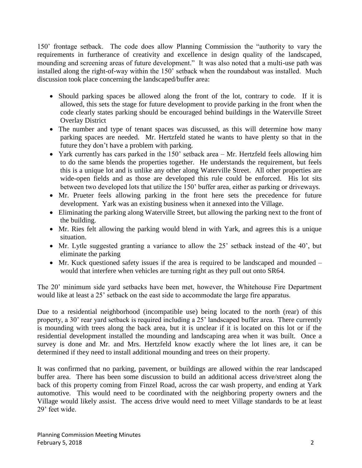150' frontage setback. The code does allow Planning Commission the "authority to vary the requirements in furtherance of creativity and excellence in design quality of the landscaped, mounding and screening areas of future development." It was also noted that a multi-use path was installed along the right-of-way within the 150' setback when the roundabout was installed. Much discussion took place concerning the landscaped/buffer area:

- Should parking spaces be allowed along the front of the lot, contrary to code. If it is allowed, this sets the stage for future development to provide parking in the front when the code clearly states parking should be encouraged behind buildings in the Waterville Street Overlay District
- The number and type of tenant spaces was discussed, as this will determine how many parking spaces are needed. Mr. Hertzfeld stated he wants to have plenty so that in the future they don't have a problem with parking.
- Yark currently has cars parked in the 150' setback area Mr. Hertzfeld feels allowing him to do the same blends the properties together. He understands the requirement, but feels this is a unique lot and is unlike any other along Waterville Street. All other properties are wide-open fields and as those are developed this rule could be enforced. His lot sits between two developed lots that utilize the 150' buffer area, either as parking or driveways.
- Mr. Prueter feels allowing parking in the front here sets the precedence for future development. Yark was an existing business when it annexed into the Village.
- Eliminating the parking along Waterville Street, but allowing the parking next to the front of the building.
- Mr. Ries felt allowing the parking would blend in with Yark, and agrees this is a unique situation.
- Mr. Lytle suggested granting a variance to allow the 25' setback instead of the 40', but eliminate the parking
- Mr. Kuck questioned safety issues if the area is required to be landscaped and mounded would that interfere when vehicles are turning right as they pull out onto SR64.

The 20' minimum side yard setbacks have been met, however, the Whitehouse Fire Department would like at least a 25' setback on the east side to accommodate the large fire apparatus.

Due to a residential neighborhood (incompatible use) being located to the north (rear) of this property, a 30' rear yard setback is required including a 25' landscaped buffer area. There currently is mounding with trees along the back area, but it is unclear if it is located on this lot or if the residential development installed the mounding and landscaping area when it was built. Once a survey is done and Mr. and Mrs. Hertzfeld know exactly where the lot lines are, it can be determined if they need to install additional mounding and trees on their property.

It was confirmed that no parking, pavement, or buildings are allowed within the rear landscaped buffer area. There has been some discussion to build an additional access drive/street along the back of this property coming from Finzel Road, across the car wash property, and ending at Yark automotive. This would need to be coordinated with the neighboring property owners and the Village would likely assist. The access drive would need to meet Village standards to be at least 29' feet wide.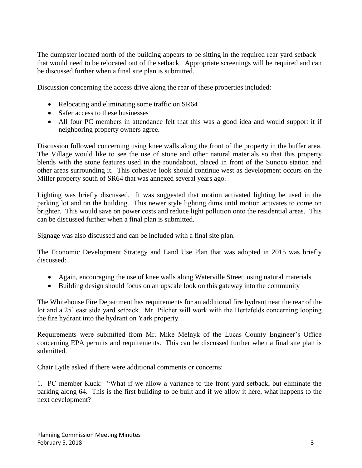The dumpster located north of the building appears to be sitting in the required rear yard setback – that would need to be relocated out of the setback. Appropriate screenings will be required and can be discussed further when a final site plan is submitted.

Discussion concerning the access drive along the rear of these properties included:

- Relocating and eliminating some traffic on SR64
- Safer access to these businesses
- All four PC members in attendance felt that this was a good idea and would support it if neighboring property owners agree.

Discussion followed concerning using knee walls along the front of the property in the buffer area. The Village would like to see the use of stone and other natural materials so that this property blends with the stone features used in the roundabout, placed in front of the Sunoco station and other areas surrounding it. This cohesive look should continue west as development occurs on the Miller property south of SR64 that was annexed several years ago.

Lighting was briefly discussed. It was suggested that motion activated lighting be used in the parking lot and on the building. This newer style lighting dims until motion activates to come on brighter. This would save on power costs and reduce light pollution onto the residential areas. This can be discussed further when a final plan is submitted.

Signage was also discussed and can be included with a final site plan.

The Economic Development Strategy and Land Use Plan that was adopted in 2015 was briefly discussed:

- Again, encouraging the use of knee walls along Waterville Street, using natural materials
- Building design should focus on an upscale look on this gateway into the community

The Whitehouse Fire Department has requirements for an additional fire hydrant near the rear of the lot and a 25' east side yard setback. Mr. Pilcher will work with the Hertzfelds concerning looping the fire hydrant into the hydrant on Yark property.

Requirements were submitted from Mr. Mike Melnyk of the Lucas County Engineer's Office concerning EPA permits and requirements. This can be discussed further when a final site plan is submitted.

Chair Lytle asked if there were additional comments or concerns:

1. PC member Kuck: "What if we allow a variance to the front yard setback, but eliminate the parking along 64. This is the first building to be built and if we allow it here, what happens to the next development?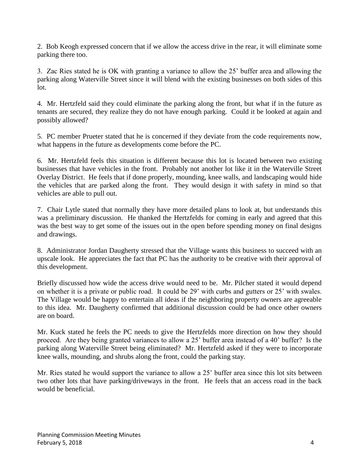2. Bob Keogh expressed concern that if we allow the access drive in the rear, it will eliminate some parking there too.

3. Zac Ries stated he is OK with granting a variance to allow the 25' buffer area and allowing the parking along Waterville Street since it will blend with the existing businesses on both sides of this lot.

4. Mr. Hertzfeld said they could eliminate the parking along the front, but what if in the future as tenants are secured, they realize they do not have enough parking. Could it be looked at again and possibly allowed?

5. PC member Prueter stated that he is concerned if they deviate from the code requirements now, what happens in the future as developments come before the PC.

6. Mr. Hertzfeld feels this situation is different because this lot is located between two existing businesses that have vehicles in the front. Probably not another lot like it in the Waterville Street Overlay District. He feels that if done properly, mounding, knee walls, and landscaping would hide the vehicles that are parked along the front. They would design it with safety in mind so that vehicles are able to pull out.

7. Chair Lytle stated that normally they have more detailed plans to look at, but understands this was a preliminary discussion. He thanked the Hertzfelds for coming in early and agreed that this was the best way to get some of the issues out in the open before spending money on final designs and drawings.

8. Administrator Jordan Daugherty stressed that the Village wants this business to succeed with an upscale look. He appreciates the fact that PC has the authority to be creative with their approval of this development.

Briefly discussed how wide the access drive would need to be. Mr. Pilcher stated it would depend on whether it is a private or public road. It could be 29' with curbs and gutters or 25' with swales. The Village would be happy to entertain all ideas if the neighboring property owners are agreeable to this idea. Mr. Daugherty confirmed that additional discussion could be had once other owners are on board.

Mr. Kuck stated he feels the PC needs to give the Hertzfelds more direction on how they should proceed. Are they being granted variances to allow a 25' buffer area instead of a 40' buffer? Is the parking along Waterville Street being eliminated? Mr. Hertzfeld asked if they were to incorporate knee walls, mounding, and shrubs along the front, could the parking stay.

Mr. Ries stated he would support the variance to allow a 25' buffer area since this lot sits between two other lots that have parking/driveways in the front. He feels that an access road in the back would be beneficial.